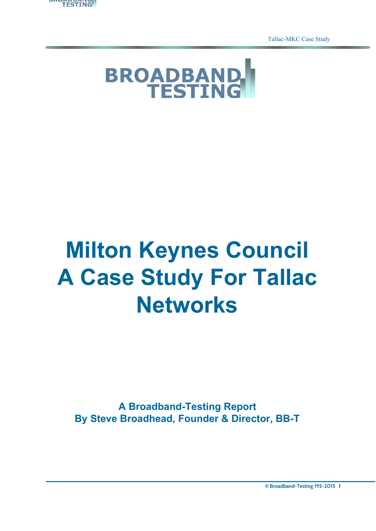

Tallac-MKC Case Study

<span id="page-0-0"></span>

# **Milton Keynes Council A Case Study For Tallac Networks**

**A Broadband-Testing Report By Steve Broadhead, Founder & Director, BB-T**

**© Broadband-Testing 195-2015** 1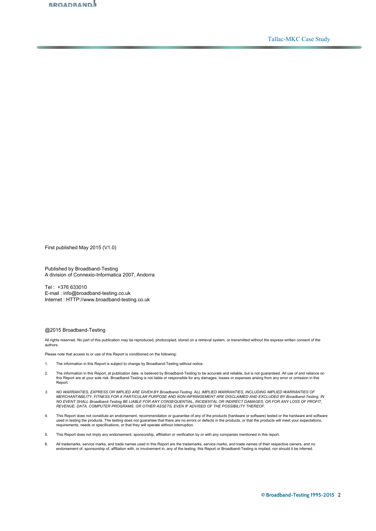

Tallac-MKC Case Study

First published May 2015 (V1.0)

Published by Broadband-Testing A division of Connexio-Informatica 2007, Andorra

Tel : +376 633010 E-mail : info@broadband-testing.co.uk Internet : HTTP://www.broadband-testing.co.uk

#### @2015 Broadband-Testing

All rights reserved. No part of this publication may be reproduced, photocopied, stored on a retrieval system, or transmitted without the express written consent of the authors.

Please note that access to or use of this Report is conditioned on the following:

- 1. The information in this Report is subject to change by Broadband-Testing without notice.
- 2. The information in this Report, at publication date, is believed by Broadband-Testing to be accurate and reliable, but is not guaranteed. All use of and reliance on<br>this Report are at your sole risk. Broadband-Testing i Report.
- 3. NO WARRANTIES, EXPRESS OR IMPLIED ARE GIVEN BY Broadband-Testing. ALL IMPLIED WARRANTIES, INCLUDING IMPLIED WARRANTIES OF<br>MERCHANTABILITY, FITNESS FOR A PARTICULAR PURPOSE AND NON-INFRINGEMENT ARE DISCLAIMED AND EXCLUDE NO EVENT SHALL Broadband-Testing BE LIABLE FOR ANY CONSEQUENTIAL, INCIDENTAL OR INDIRECT DAMAGES, OR FOR ANY LOSS OF PROFIT, *REVENUE, DATA, COMPUTER PROGRAMS, OR OTHER ASSETS, EVEN IF ADVISED OF THE POSSIBILITY THEREOF.*
- 4. This Report does not constitute an endorsement, recommendation or guarantee of any of the products (hardware or software) tested or the hardware and software used in testing the products. The testing does not guarantee that there are no errors or defects in the products, or that the products will meet your expectations, requirements, needs or specifications, or that they will operate without interruption.
- 5. This Report does not imply any endorsement, sponsorship, affiliation or verification by or with any companies mentioned in this report.
- 6. All trademarks, service marks, and trade names used in this Report are the trademarks, service marks, and trade names of their respective owners, and no endorsement of, sponsorship of, affiliation with, or involvement in, any of the testing, this Report or Broadband-Testing is implied, nor should it be inferred.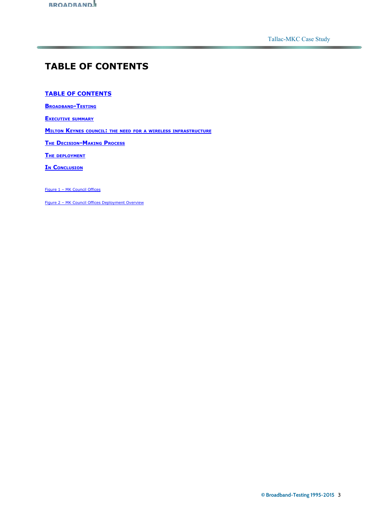# <span id="page-2-0"></span>**TABLE OF CONTENT[S](#page-0-0)**

## **[TABLE OF CONTENTS](#page-2-0)**

**B[ROADBAND](#page-3-0)-TESTING**

**EXECUTIVE [SUMMARY](#page-3-1)**

**MILTON KEYNES COUNCIL: THE NEED FOR <sup>A</sup> WIRELESS [INFRASTRUCTURE](#page-4-0)**

**THE D[ECISION](#page-5-0)-MAKING PROCESS**

**THE [DEPLOYMENT](#page-7-0)**

**IN C[ONCLUSION](#page-11-0)**

[Figure 1 – MK Council Offices](#page-5-1)

[Figure 2 – MK Council Offices Deployment Overview](#page-7-1)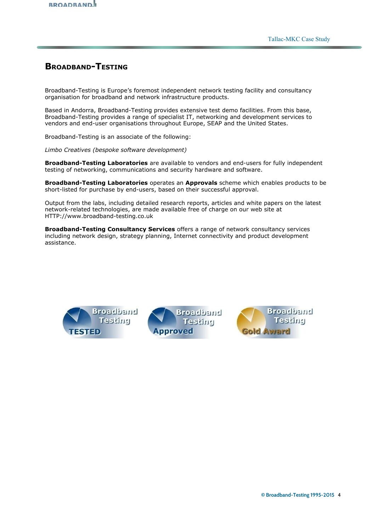

## <span id="page-3-0"></span>**BROADBAND-TESTING**

Broadband-Testing is Europe's foremost independent network testing facility and consultancy organisation for broadband and network infrastructure products.

Based in Andorra, Broadband-Testing provides extensive test demo facilities. From this base, Broadband-Testing provides a range of specialist IT, networking and development services to vendors and end-user organisations throughout Europe, SEAP and the United States.

Broadband-Testing is an associate of the following:

*Limbo Creatives (bespoke software development)* 

**Broadband-Testing Laboratories** are available to vendors and end-users for fully independent testing of networking, communications and security hardware and software.

**Broadband-Testing Laboratories** operates an **Approvals** scheme which enables products to be short-listed for purchase by end-users, based on their successful approval.

Output from the labs, including detailed research reports, articles and white papers on the latest network-related technologies, are made available free of charge on our web site at HTTP://www.broadband-testing.co.uk

**Broadband-Testing Consultancy Services** offers a range of network consultancy services including network design, strategy planning, Internet connectivity and product development assistance.

<span id="page-3-1"></span>

**Broadband** Testing **pproved** 

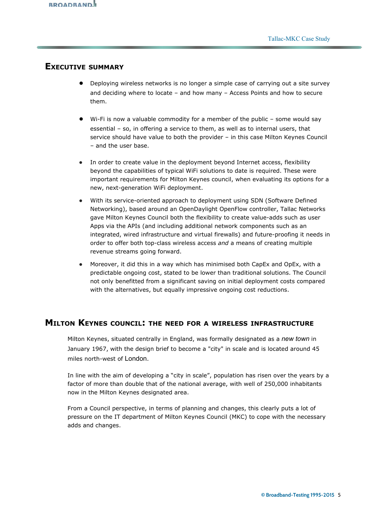## **EXECUTIVE SUMMARY**

- Deploying wireless networks is no longer a simple case of carrying out a site survey and deciding where to locate – and how many – Access Points and how to secure them.
- Wi-Fi is now a valuable commodity for a member of the public some would say essential – so, in offering a service to them, as well as to internal users, that service should have value to both the provider – in this case Milton Keynes Council – and the user base.
- In order to create value in the deployment beyond Internet access, flexibility beyond the capabilities of typical WiFi solutions to date is required. These were important requirements for Milton Keynes council, when evaluating its options for a new, next-generation WiFi deployment.
- With its service-oriented approach to deployment using SDN (Software Defined Networking), based around an OpenDaylight OpenFlow controller, Tallac Networks gave Milton Keynes Council both the flexibility to create value-adds such as user Apps via the APIs (and including additional network components such as an integrated, wired infrastructure and virtual firewalls) and future-proofing it needs in order to offer both top-class wireless access *and* a means of creating multiple revenue streams going forward.
- Moreover, it did this in a way which has minimised both CapEx and OpEx, with a predictable ongoing cost, stated to be lower than traditional solutions. The Council not only benefitted from a significant saving on initial deployment costs compared with the alternatives, but equally impressive ongoing cost reductions.

## <span id="page-4-0"></span>**MILTON KEYNES COUNCIL: THE NEED FOR <sup>A</sup> WIRELESS INFRASTRUCTURE**

Milton Keynes, situated centrally in England, was formally designated as a *new [town](http://en.wikipedia.org/wiki/New_towns_in_the_United_Kingdom)* in January 1967, with the design brief to become a "city" in scale and is located around 45 miles north-west of [London](http://en.wikipedia.org/wiki/London).

In line with the aim of developing a "city in scale", population has risen over the years by a factor of more than double that of the national average, with well of 250,000 inhabitants now in the Milton Keynes designated area.

From a Council perspective, in terms of planning and changes, this clearly puts a lot of pressure on the IT department of Milton Keynes Council (MKC) to cope with the necessary adds and changes.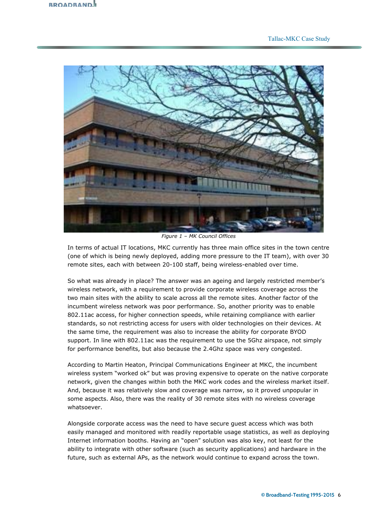<span id="page-5-1"></span>

*Figure 1 – MK Council Offices*

In terms of actual IT locations, MKC currently has three main office sites in the town centre (one of which is being newly deployed, adding more pressure to the IT team), with over 30 remote sites, each with between 20-100 staff, being wireless-enabled over time.

So what was already in place? The answer was an ageing and largely restricted member's wireless network, with a requirement to provide corporate wireless coverage across the two main sites with the ability to scale across all the remote sites. Another factor of the incumbent wireless network was poor performance. So, another priority was to enable 802.11ac access, for higher connection speeds, while retaining compliance with earlier standards, so not restricting access for users with older technologies on their devices. At the same time, the requirement was also to increase the ability for corporate BYOD support. In line with 802.11ac was the requirement to use the 5Ghz airspace, not simply for performance benefits, but also because the 2.4Ghz space was very congested.

According to Martin Heaton, Principal Communications Engineer at MKC, the incumbent wireless system "worked ok" but was proving expensive to operate on the native corporate network, given the changes within both the MKC work codes and the wireless market itself. And, because it was relatively slow and coverage was narrow, so it proved unpopular in some aspects. Also, there was the reality of 30 remote sites with no wireless coverage whatsoever.

<span id="page-5-0"></span>Alongside corporate access was the need to have secure guest access which was both easily managed and monitored with readily reportable usage statistics, as well as deploying Internet information booths. Having an "open" solution was also key, not least for the ability to integrate with other software (such as security applications) and hardware in the future, such as external APs, as the network would continue to expand across the town.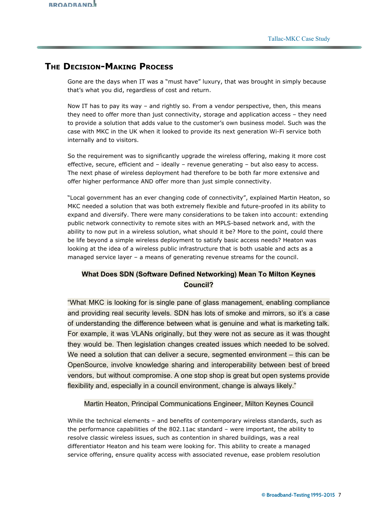# **THE DECISION-MAKING PROCESS**

Gone are the days when IT was a "must have" luxury, that was brought in simply because that's what you did, regardless of cost and return.

Now IT has to pay its way – and rightly so. From a vendor perspective, then, this means they need to offer more than just connectivity, storage and application access – they need to provide a solution that adds value to the customer's own business model. Such was the case with MKC in the UK when it looked to provide its next generation Wi-Fi service both internally and to visitors.

So the requirement was to significantly upgrade the wireless offering, making it more cost effective, secure, efficient and – ideally – revenue generating – but also easy to access. The next phase of wireless deployment had therefore to be both far more extensive and offer higher performance AND offer more than just simple connectivity.

"Local government has an ever changing code of connectivity", explained Martin Heaton, so MKC needed a solution that was both extremely flexible and future-proofed in its ability to expand and diversify. There were many considerations to be taken into account: extending public network connectivity to remote sites with an MPLS-based network and, with the ability to now put in a wireless solution, what should it be? More to the point, could there be life beyond a simple wireless deployment to satisfy basic access needs? Heaton was looking at the idea of a wireless public infrastructure that is both usable and acts as a managed service layer – a means of generating revenue streams for the council.

## **What Does SDN (Software Defined Networking) Mean To Milton Keynes Council?**

"What MKC is looking for is single pane of glass management, enabling compliance and providing real security levels. SDN has lots of smoke and mirrors, so it's a case of understanding the difference between what is genuine and what is marketing talk. For example, it was VLANs originally, but they were not as secure as it was thought they would be. Then legislation changes created issues which needed to be solved. We need a solution that can deliver a secure, segmented environment – this can be OpenSource, involve knowledge sharing and interoperability between best of breed vendors, but without compromise. A one stop shop is great but open systems provide flexibility and, especially in a council environment, change is always likely."

## Martin Heaton, Principal Communications Engineer, Milton Keynes Council

While the technical elements – and benefits of contemporary wireless standards, such as the performance capabilities of the 802.11ac standard – were important, the ability to resolve classic wireless issues, such as contention in shared buildings, was a real differentiator Heaton and his team were looking for. This ability to create a managed service offering, ensure quality access with associated revenue, ease problem resolution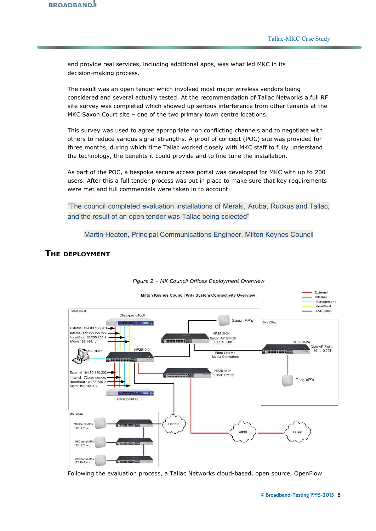and provide real services, including additional apps, was what led MKC in its decision-making process.

The result was an open tender which involved most major wireless vendors being considered and several actually tested. At the recommendation of Tallac Networks a full RF site survey was completed which showed up serious interference from other tenants at the MKC Saxon Court site – one of the two primary town centre locations.

This survey was used to agree appropriate non conflicting channels and to negotiate with others to reduce various signal strengths. A proof of concept (POC) site was provided for three months, during which time Tallac worked closely with MKC staff to fully understand the technology, the benefits it could provide and to fine tune the installation.

As part of the POC, a bespoke secure access portal was developed for MKC with up to 200 users. After this a full tender process was put in place to make sure that key requirements were met and full commercials were taken in to account.

"The council completed evaluation installations of Meraki, Aruba, Ruckus and Tallac, and the result of an open tender was Tallac being selected"

Martin Heaton, Principal Communications Engineer, Milton Keynes Council

## <span id="page-7-0"></span>**THE DEPLOYMENT**

<span id="page-7-1"></span>

#### *Figure 2 – MK Council Offices Deployment Overview*

Following the evaluation process, a Tallac Networks cloud-based, open source, OpenFlow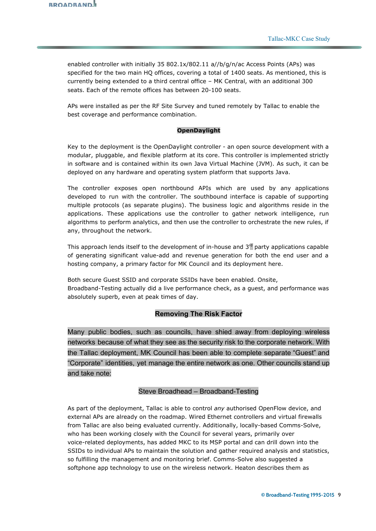enabled controller with initially 35 802.1x/802.11 a//b/g/n/ac Access Points (APs) was specified for the two main HQ offices, covering a total of 1400 seats. As mentioned, this is currently being extended to a third central office – MK Central, with an additional 300 seats. Each of the remote offices has between 20-100 seats.

APs were installed as per the RF Site Survey and tuned remotely by Tallac to enable the best coverage and performance combination.

## **OpenDaylight**

Key to the deployment is the OpenDaylight controller - an open source development with a modular, pluggable, and flexible platform at its core. This controller is implemented strictly in software and is contained within its own Java Virtual Machine (JVM). As such, it can be deployed on any hardware and operating system platform that supports Java.

The controller exposes open northbound APIs which are used by any applications developed to run with the controller. The southbound interface is capable of supporting multiple protocols (as separate plugins). The business logic and algorithms reside in the applications. These applications use the controller to gather network intelligence, run algorithms to perform analytics, and then use the controller to orchestrate the new rules, if any, throughout the network.

This approach lends itself to the development of in-house and 3<sup>rd</sup> party applications capable of generating significant value-add and revenue generation for both the end user and a hosting company, a primary factor for MK Council and its deployment here.

Both secure Guest SSID and corporate SSIDs have been enabled. Onsite, Broadband-Testing actually did a live performance check, as a guest, and performance was absolutely superb, even at peak times of day.

## **Removing The Risk Factor**

Many public bodies, such as councils, have shied away from deploying wireless networks because of what they see as the security risk to the corporate network. With the Tallac deployment, MK Council has been able to complete separate "Guest" and "Corporate" identities, yet manage the entire network as one. Other councils stand up and take note:

## Steve Broadhead – Broadband-Testing

As part of the deployment, Tallac is able to control *any* authorised OpenFlow device, and external APs are already on the roadmap. Wired Ethernet controllers and virtual firewalls from Tallac are also being evaluated currently. Additionally, locally-based Comms-Solve, who has been working closely with the Council for several years, primarily over voice-related deployments, has added MKC to its MSP portal and can drill down into the SSIDs to individual APs to maintain the solution and gather required analysis and statistics, so fulfilling the management and monitoring brief. Comms-Solve also suggested a softphone app technology to use on the wireless network. Heaton describes them as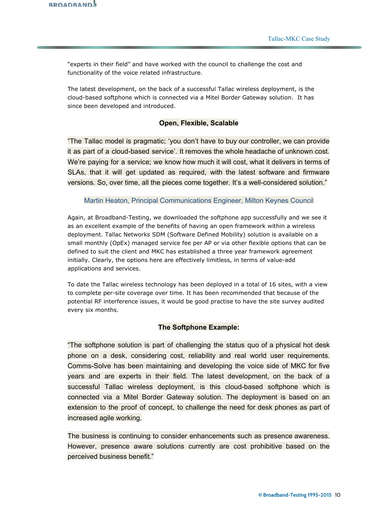"experts in their field" and have worked with the council to challenge the cost and functionality of the voice related infrastructure.

The latest development, on the back of a successful Tallac wireless deployment, is the cloud-based softphone which is connected via a Mitel Border Gateway solution. It has since been developed and introduced.

## **Open, Flexible, Scalable**

"The Tallac model is pragmatic: 'you don't have to buy our controller, we can provide it as part of a cloud-based service'. It removes the whole headache of unknown cost. We're paying for a service; we know how much it will cost, what it delivers in terms of SLAs, that it will get updated as required, with the latest software and firmware versions. So, over time, all the pieces come together. It's a well-considered solution."

## Martin Heaton, Principal Communications Engineer, Milton Keynes Council

Again, at Broadband-Testing, we downloaded the softphone app successfully and we see it as an excellent example of the benefits of having an open framework within a wireless deployment. Tallac Networks SDM (Software Defined Mobility) solution is available on a small monthly (OpEx) managed service fee per AP or via other flexible options that can be defined to suit the client and MKC has established a three year framework agreement initially. Clearly, the options here are effectively limitless, in terms of value-add applications and services.

To date the Tallac wireless technology has been deployed in a total of 16 sites, with a view to complete per-site coverage over time. It has been recommended that because of the potential RF interference issues, it would be good practise to have the site survey audited every six months.

#### **The Softphone Example:**

"The softphone solution is part of challenging the status quo of a physical hot desk phone on a desk, considering cost, reliability and real world user requirements. Comms-Solve has been maintaining and developing the voice side of MKC for five years and are experts in their field. The latest development, on the back of a successful Tallac wireless deployment, is this cloud-based softphone which is connected via a Mitel Border Gateway solution. The deployment is based on an extension to the proof of concept, to challenge the need for desk phones as part of increased agile working.

The business is continuing to consider enhancements such as presence awareness. However, presence aware solutions currently are cost prohibitive based on the perceived business benefit."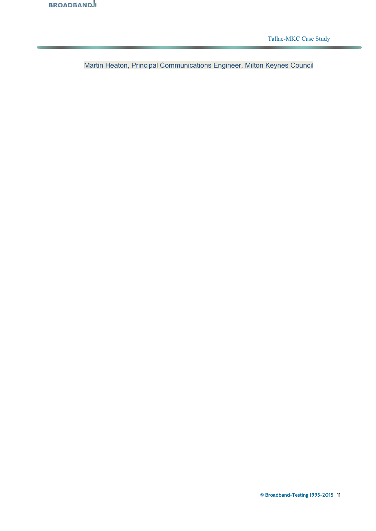

Tallac-MKC Case Study

Martin Heaton, Principal Communications Engineer, Milton Keynes Council